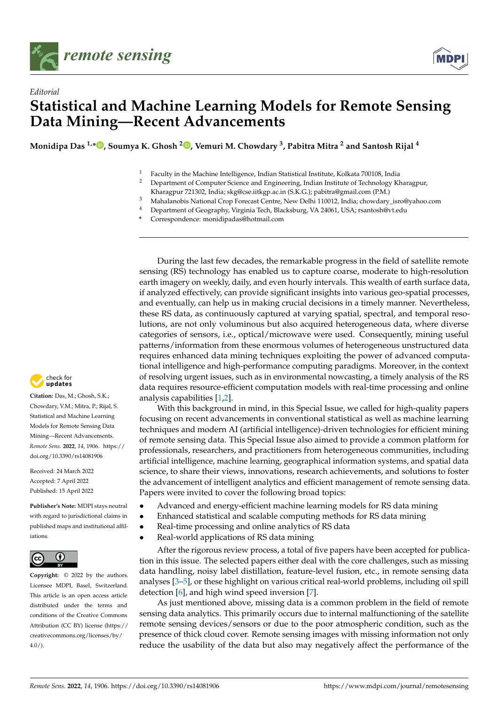



## *Editorial* **Statistical and Machine Learning Models for Remote Sensing Data Mining—Recent Advancements**

**Monidipa Das 1,\* [,](https://orcid.org/0000-0002-7615-4407) Soumya K. Ghosh <sup>2</sup> [,](https://orcid.org/0000-0001-8359-581X) Vemuri M. Chowdary <sup>3</sup> , Pabitra Mitra <sup>2</sup> and Santosh Rijal <sup>4</sup>**

<sup>1</sup> Faculty in the Machine Intelligence, Indian Statistical Institute, Kolkata 700108, India<br><sup>2</sup> Department of Computer Science and Engineering, Indian Institute of Technology *V* 

- <sup>2</sup> Department of Computer Science and Engineering, Indian Institute of Technology Kharagpur,
- Kharagpur 721302, India; skg@cse.iitkgp.ac.in (S.K.G.); pabitra@gmail.com (P.M.)
- <sup>3</sup> Mahalanobis National Crop Forecast Centre, New Delhi 110012, India; chowdary\_isro@yahoo.com
- <sup>4</sup> Department of Geography, Virginia Tech, Blacksburg, VA 24061, USA; rsantosh@vt.edu
- **\*** Correspondence: monidipadas@hotmail.com

During the last few decades, the remarkable progress in the field of satellite remote sensing (RS) technology has enabled us to capture coarse, moderate to high-resolution earth imagery on weekly, daily, and even hourly intervals. This wealth of earth surface data, if analyzed effectively, can provide significant insights into various geo-spatial processes, and eventually, can help us in making crucial decisions in a timely manner. Nevertheless, these RS data, as continuously captured at varying spatial, spectral, and temporal resolutions, are not only voluminous but also acquired heterogeneous data, where diverse categories of sensors, i.e., optical/microwave were used. Consequently, mining useful patterns/information from these enormous volumes of heterogeneous unstructured data requires enhanced data mining techniques exploiting the power of advanced computational intelligence and high-performance computing paradigms. Moreover, in the context of resolving urgent issues, such as in environmental nowcasting, a timely analysis of the RS data requires resource-efficient computation models with real-time processing and online analysis capabilities [\[1](#page-2-0)[,2\]](#page-2-1).

With this background in mind, in this Special Issue, we called for high-quality papers focusing on recent advancements in conventional statistical as well as machine learning techniques and modern AI (artificial intelligence)-driven technologies for efficient mining of remote sensing data. This Special Issue also aimed to provide a common platform for professionals, researchers, and practitioners from heterogeneous communities, including artificial intelligence, machine learning, geographical information systems, and spatial data science, to share their views, innovations, research achievements, and solutions to foster the advancement of intelligent analytics and efficient management of remote sensing data. Papers were invited to cover the following broad topics:

- Advanced and energy-efficient machine learning models for RS data mining
- Enhanced statistical and scalable computing methods for RS data mining
- Real-time processing and online analytics of RS data
- Real-world applications of RS data mining

After the rigorous review process, a total of five papers have been accepted for publication in this issue. The selected papers either deal with the core challenges, such as missing data handling, noisy label distillation, feature-level fusion, etc., in remote sensing data analyses [\[3–](#page-2-2)[5\]](#page-2-3), or these highlight on various critical real-world problems, including oil spill detection [\[6\]](#page-2-4), and high wind speed inversion [\[7\]](#page-2-5).

As just mentioned above, missing data is a common problem in the field of remote sensing data analytics. This primarily occurs due to internal malfunctioning of the satellite remote sensing devices/sensors or due to the poor atmospheric condition, such as the presence of thick cloud cover. Remote sensing images with missing information not only reduce the usability of the data but also may negatively affect the performance of the



**Citation:** Das, M.; Ghosh, S.K.; Chowdary, V.M.; Mitra, P.; Rijal, S. Statistical and Machine Learning Models for Remote Sensing Data Mining—Recent Advancements. *Remote Sens.* **2022**, *14*, 1906. [https://](https://doi.org/10.3390/rs14081906) [doi.org/10.3390/rs14081906](https://doi.org/10.3390/rs14081906)

Received: 24 March 2022 Accepted: 7 April 2022 Published: 15 April 2022

**Publisher's Note:** MDPI stays neutral with regard to jurisdictional claims in published maps and institutional affiliations.



**Copyright:** © 2022 by the authors. Licensee MDPI, Basel, Switzerland. This article is an open access article distributed under the terms and conditions of the Creative Commons Attribution (CC BY) license [\(https://](https://creativecommons.org/licenses/by/4.0/) [creativecommons.org/licenses/by/](https://creativecommons.org/licenses/by/4.0/)  $4.0/$ ).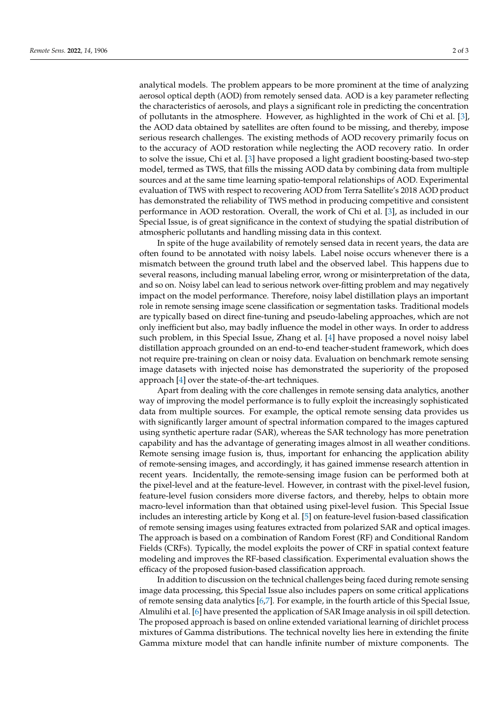analytical models. The problem appears to be more prominent at the time of analyzing aerosol optical depth (AOD) from remotely sensed data. AOD is a key parameter reflecting the characteristics of aerosols, and plays a significant role in predicting the concentration of pollutants in the atmosphere. However, as highlighted in the work of Chi et al. [\[3\]](#page-2-2), the AOD data obtained by satellites are often found to be missing, and thereby, impose serious research challenges. The existing methods of AOD recovery primarily focus on to the accuracy of AOD restoration while neglecting the AOD recovery ratio. In order to solve the issue, Chi et al. [\[3\]](#page-2-2) have proposed a light gradient boosting-based two-step model, termed as TWS, that fills the missing AOD data by combining data from multiple sources and at the same time learning spatio-temporal relationships of AOD. Experimental evaluation of TWS with respect to recovering AOD from Terra Satellite's 2018 AOD product has demonstrated the reliability of TWS method in producing competitive and consistent performance in AOD restoration. Overall, the work of Chi et al. [\[3\]](#page-2-2), as included in our Special Issue, is of great significance in the context of studying the spatial distribution of atmospheric pollutants and handling missing data in this context.

In spite of the huge availability of remotely sensed data in recent years, the data are often found to be annotated with noisy labels. Label noise occurs whenever there is a mismatch between the ground truth label and the observed label. This happens due to several reasons, including manual labeling error, wrong or misinterpretation of the data, and so on. Noisy label can lead to serious network over-fitting problem and may negatively impact on the model performance. Therefore, noisy label distillation plays an important role in remote sensing image scene classification or segmentation tasks. Traditional models are typically based on direct fine-tuning and pseudo-labeling approaches, which are not only inefficient but also, may badly influence the model in other ways. In order to address such problem, in this Special Issue, Zhang et al. [\[4\]](#page-2-6) have proposed a novel noisy label distillation approach grounded on an end-to-end teacher-student framework, which does not require pre-training on clean or noisy data. Evaluation on benchmark remote sensing image datasets with injected noise has demonstrated the superiority of the proposed approach [\[4\]](#page-2-6) over the state-of-the-art techniques.

Apart from dealing with the core challenges in remote sensing data analytics, another way of improving the model performance is to fully exploit the increasingly sophisticated data from multiple sources. For example, the optical remote sensing data provides us with significantly larger amount of spectral information compared to the images captured using synthetic aperture radar (SAR), whereas the SAR technology has more penetration capability and has the advantage of generating images almost in all weather conditions. Remote sensing image fusion is, thus, important for enhancing the application ability of remote-sensing images, and accordingly, it has gained immense research attention in recent years. Incidentally, the remote-sensing image fusion can be performed both at the pixel-level and at the feature-level. However, in contrast with the pixel-level fusion, feature-level fusion considers more diverse factors, and thereby, helps to obtain more macro-level information than that obtained using pixel-level fusion. This Special Issue includes an interesting article by Kong et al. [\[5\]](#page-2-3) on feature-level fusion-based classification of remote sensing images using features extracted from polarized SAR and optical images. The approach is based on a combination of Random Forest (RF) and Conditional Random Fields (CRFs). Typically, the model exploits the power of CRF in spatial context feature modeling and improves the RF-based classification. Experimental evaluation shows the efficacy of the proposed fusion-based classification approach.

In addition to discussion on the technical challenges being faced during remote sensing image data processing, this Special Issue also includes papers on some critical applications of remote sensing data analytics [\[6,](#page-2-4)[7\]](#page-2-5). For example, in the fourth article of this Special Issue, Almulihi et al. [\[6\]](#page-2-4) have presented the application of SAR Image analysis in oil spill detection. The proposed approach is based on online extended variational learning of dirichlet process mixtures of Gamma distributions. The technical novelty lies here in extending the finite Gamma mixture model that can handle infinite number of mixture components. The